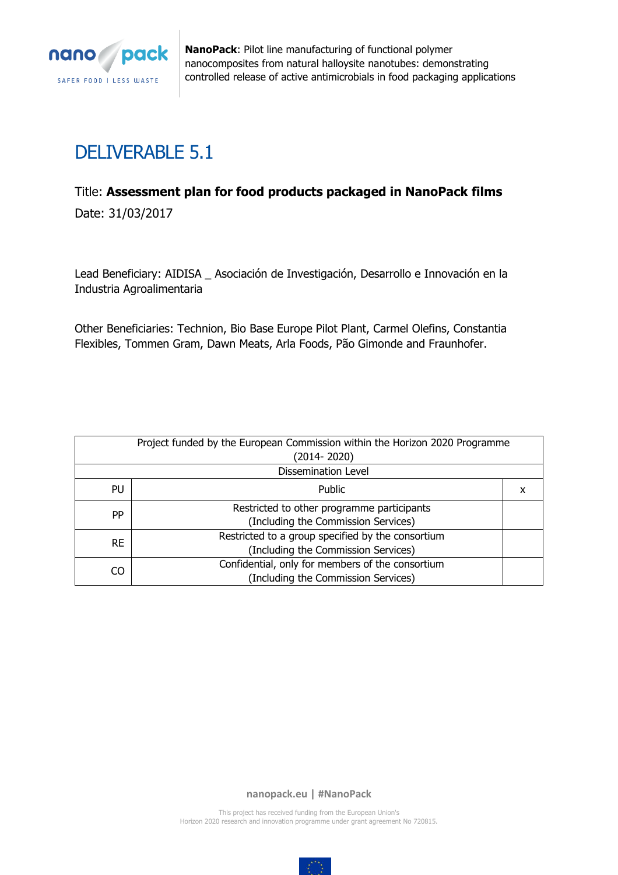

# DELIVERABLE 5.1

# Title: **Assessment plan for food products packaged in NanoPack films**

Date: 31/03/2017

Lead Beneficiary: AIDISA \_ Asociación de Investigación, Desarrollo e Innovación en la Industria Agroalimentaria

Other Beneficiaries: Technion, Bio Base Europe Pilot Plant, Carmel Olefins, Constantia Flexibles, Tommen Gram, Dawn Meats, Arla Foods, Pão Gimonde and Fraunhofer.

| Project funded by the European Commission within the Horizon 2020 Programme<br>(2014-2020)    |                                                                                          |  |
|-----------------------------------------------------------------------------------------------|------------------------------------------------------------------------------------------|--|
|                                                                                               | <b>Dissemination Level</b>                                                               |  |
| Public<br>PU<br>x                                                                             |                                                                                          |  |
| PP                                                                                            | Restricted to other programme participants<br>(Including the Commission Services)        |  |
| <b>RE</b>                                                                                     | Restricted to a group specified by the consortium<br>(Including the Commission Services) |  |
| Confidential, only for members of the consortium<br>CO<br>(Including the Commission Services) |                                                                                          |  |

**nanopack.eu | #NanoPack**

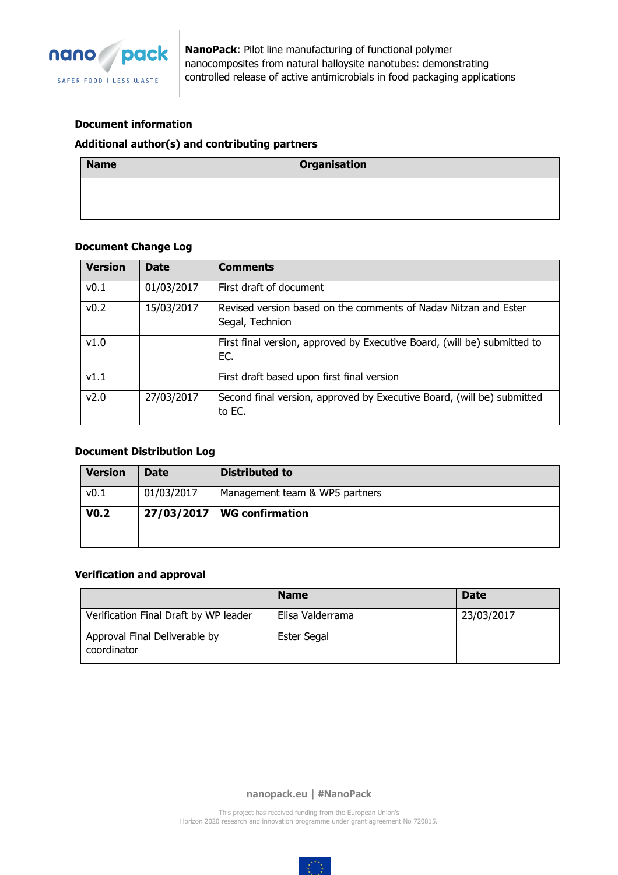

#### **Document information**

#### **Additional author(s) and contributing partners**

| <b>Name</b> | <b>Organisation</b> |
|-------------|---------------------|
|             |                     |
|             |                     |

#### **Document Change Log**

| <b>Version</b> | <b>Date</b> | <b>Comments</b>                                                                    |  |
|----------------|-------------|------------------------------------------------------------------------------------|--|
| v0.1           | 01/03/2017  | First draft of document                                                            |  |
| v0.2           | 15/03/2017  | Revised version based on the comments of Naday Nitzan and Ester<br>Segal, Technion |  |
| v1.0           |             | First final version, approved by Executive Board, (will be) submitted to<br>EC.    |  |
| V1.1           |             | First draft based upon first final version                                         |  |
| v2.0           | 27/03/2017  | Second final version, approved by Executive Board, (will be) submitted<br>to EC.   |  |

#### **Document Distribution Log**

| <b>Version</b>   | <b>Date</b> | Distributed to                 |
|------------------|-------------|--------------------------------|
| v0.1             | 01/03/2017  | Management team & WP5 partners |
| V <sub>0.2</sub> |             | $27/03/2017$ WG confirmation   |
|                  |             |                                |

#### **Verification and approval**

|                                              | <b>Name</b>      | <b>Date</b> |
|----------------------------------------------|------------------|-------------|
| Verification Final Draft by WP leader        | Elisa Valderrama | 23/03/2017  |
| Approval Final Deliverable by<br>coordinator | Ester Segal      |             |

**nanopack.eu | #NanoPack**

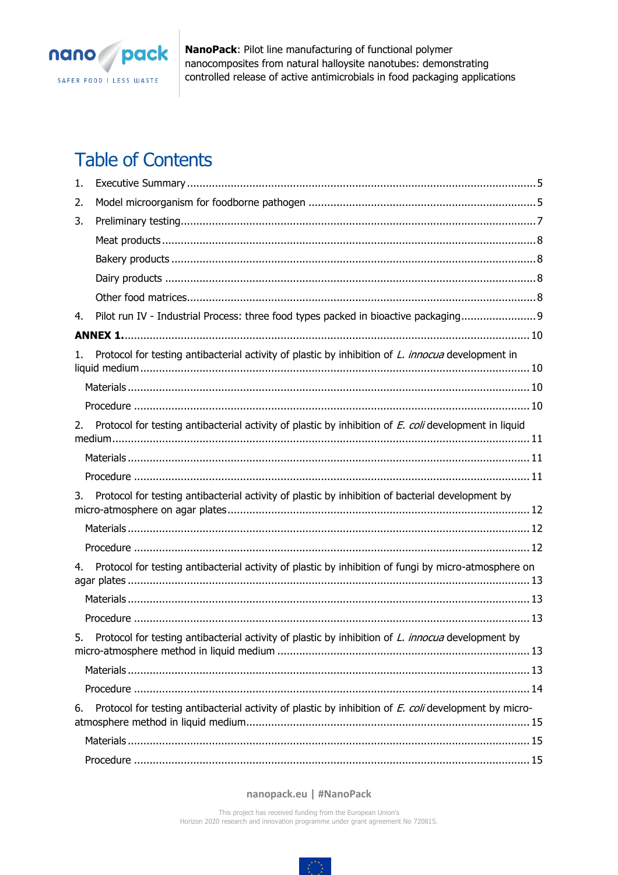

# **Table of Contents**

| 1. |                                                                                                          |
|----|----------------------------------------------------------------------------------------------------------|
| 2. |                                                                                                          |
| 3. |                                                                                                          |
|    |                                                                                                          |
|    |                                                                                                          |
|    |                                                                                                          |
|    |                                                                                                          |
| 4. | Pilot run IV - Industrial Process: three food types packed in bioactive packaging 9                      |
|    |                                                                                                          |
| 1. | Protocol for testing antibacterial activity of plastic by inhibition of <i>L. innocua</i> development in |
|    |                                                                                                          |
|    |                                                                                                          |
| 2. | Protocol for testing antibacterial activity of plastic by inhibition of E. coli development in liquid    |
|    |                                                                                                          |
|    |                                                                                                          |
| 3. | Protocol for testing antibacterial activity of plastic by inhibition of bacterial development by         |
|    |                                                                                                          |
|    |                                                                                                          |
| 4. | Protocol for testing antibacterial activity of plastic by inhibition of fungi by micro-atmosphere on     |
|    |                                                                                                          |
|    |                                                                                                          |
| 5. | Protocol for testing antibacterial activity of plastic by inhibition of L. innocua development by        |
|    |                                                                                                          |
|    |                                                                                                          |
| 6. | Protocol for testing antibacterial activity of plastic by inhibition of E. coli development by micro-    |
|    |                                                                                                          |
|    |                                                                                                          |

#### nanopack.eu | #NanoPack

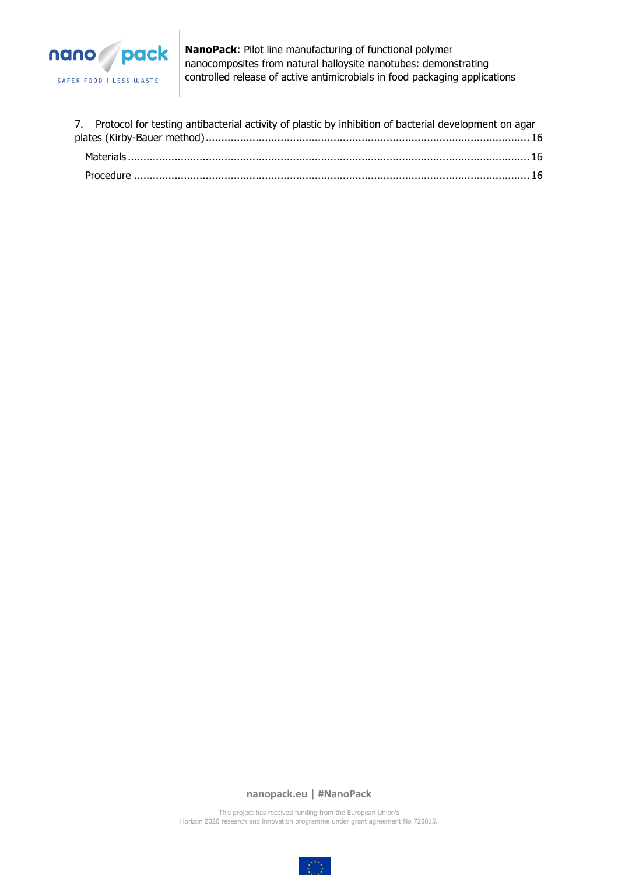

| 7. Protocol for testing antibacterial activity of plastic by inhibition of bacterial development on agar |  |
|----------------------------------------------------------------------------------------------------------|--|
|                                                                                                          |  |
|                                                                                                          |  |
|                                                                                                          |  |

**nanopack.eu | #NanoPack**

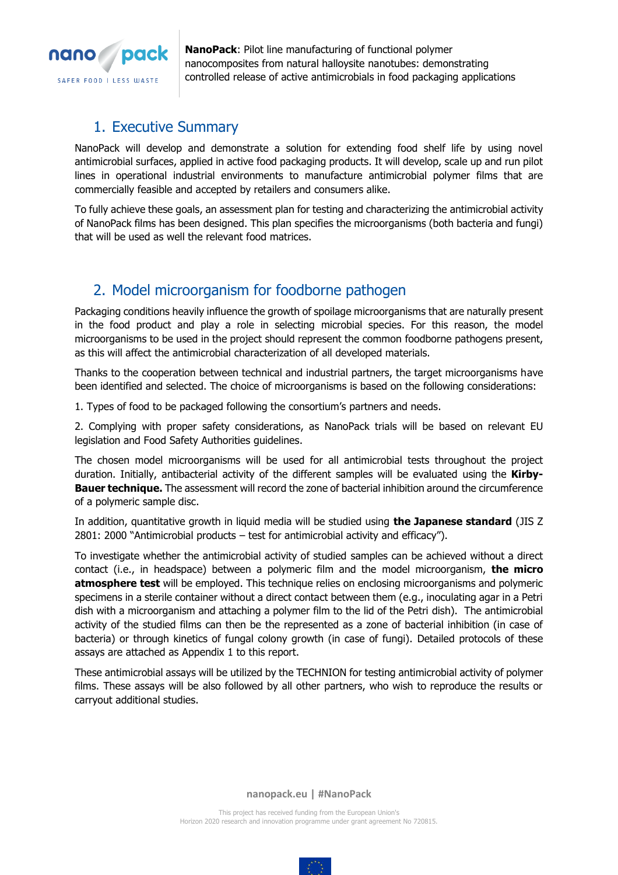

## <span id="page-4-0"></span>1. Executive Summary

NanoPack will develop and demonstrate a solution for extending food shelf life by using novel antimicrobial surfaces, applied in active food packaging products. It will develop, scale up and run pilot lines in operational industrial environments to manufacture antimicrobial polymer films that are commercially feasible and accepted by retailers and consumers alike.

To fully achieve these goals, an assessment plan for testing and characterizing the antimicrobial activity of NanoPack films has been designed. This plan specifies the microorganisms (both bacteria and fungi) that will be used as well the relevant food matrices.

## <span id="page-4-1"></span>2. Model microorganism for foodborne pathogen

Packaging conditions heavily influence the growth of spoilage microorganisms that are naturally present in the food product and play a role in selecting microbial species. For this reason, the model microorganisms to be used in the project should represent the common foodborne pathogens present, as this will affect the antimicrobial characterization of all developed materials.

Thanks to the cooperation between technical and industrial partners, the target microorganisms have been identified and selected. The choice of microorganisms is based on the following considerations:

1. Types of food to be packaged following the consortium's partners and needs.

2. Complying with proper safety considerations, as NanoPack trials will be based on relevant EU legislation and Food Safety Authorities guidelines.

The chosen model microorganisms will be used for all antimicrobial tests throughout the project duration. Initially, antibacterial activity of the different samples will be evaluated using the **Kirby-Bauer technique.** The assessment will record the zone of bacterial inhibition around the circumference of a polymeric sample disc.

In addition, quantitative growth in liquid media will be studied using **the Japanese standard** (JIS Z 2801: 2000 "Antimicrobial products – test for antimicrobial activity and efficacy").

To investigate whether the antimicrobial activity of studied samples can be achieved without a direct contact (i.e., in headspace) between a polymeric film and the model microorganism, **the micro atmosphere test** will be employed. This technique relies on enclosing microorganisms and polymeric specimens in a sterile container without a direct contact between them (e.g., inoculating agar in a Petri dish with a microorganism and attaching a polymer film to the lid of the Petri dish). The antimicrobial activity of the studied films can then be the represented as a zone of bacterial inhibition (in case of bacteria) or through kinetics of fungal colony growth (in case of fungi). Detailed protocols of these assays are attached as Appendix 1 to this report.

These antimicrobial assays will be utilized by the TECHNION for testing antimicrobial activity of polymer films. These assays will be also followed by all other partners, who wish to reproduce the results or carryout additional studies.

**nanopack.eu | #NanoPack**

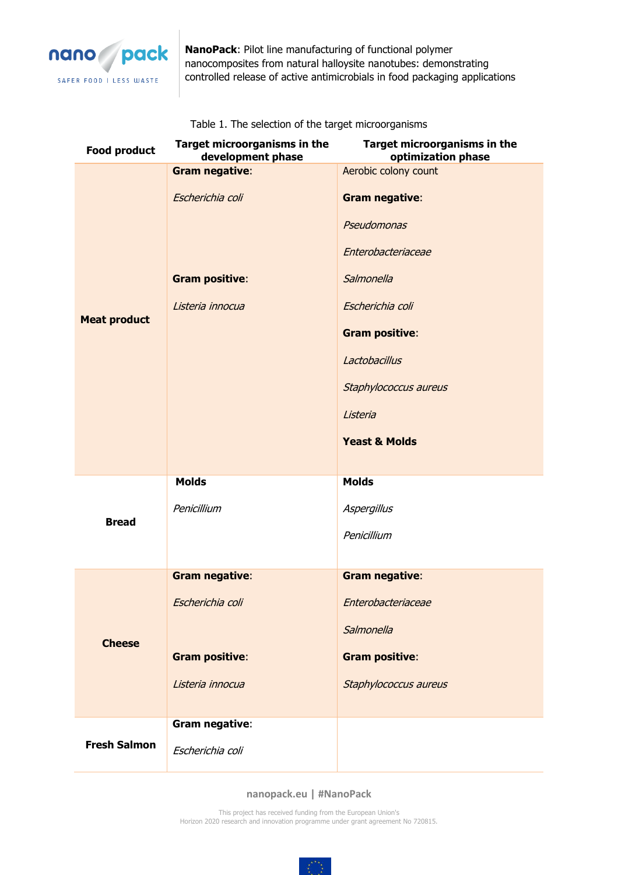

| <b>Food product</b> | Target microorganisms in the<br>development phase | Target microorganisms in the<br>optimization phase |
|---------------------|---------------------------------------------------|----------------------------------------------------|
|                     | <b>Gram negative:</b>                             | Aerobic colony count                               |
|                     | Escherichia coli                                  | <b>Gram negative:</b>                              |
|                     |                                                   | Pseudomonas                                        |
|                     |                                                   | Enterobacteriaceae                                 |
|                     | <b>Gram positive:</b>                             | Salmonella                                         |
| <b>Meat product</b> | Listeria innocua                                  | Escherichia coli                                   |
|                     |                                                   | <b>Gram positive:</b>                              |
|                     |                                                   | Lactobacillus                                      |
|                     |                                                   | Staphylococcus aureus                              |
|                     |                                                   | Listeria                                           |
|                     |                                                   | <b>Yeast &amp; Molds</b>                           |
|                     |                                                   |                                                    |
|                     | <b>Molds</b>                                      | <b>Molds</b>                                       |
| <b>Bread</b>        | Penicillium                                       | Aspergillus                                        |
|                     |                                                   | Penicillium                                        |
|                     |                                                   |                                                    |
|                     | <b>Gram negative:</b>                             | <b>Gram negative:</b>                              |
|                     | Escherichia coli                                  | Enterobacteriaceae                                 |
| <b>Cheese</b>       |                                                   | Salmonella                                         |
|                     | <b>Gram positive:</b>                             | <b>Gram positive:</b>                              |
|                     | Listeria innocua                                  | Staphylococcus aureus                              |
|                     |                                                   |                                                    |
|                     | Gram negative:                                    |                                                    |
| <b>Fresh Salmon</b> | Escherichia coli                                  |                                                    |

Table 1. The selection of the target microorganisms

#### **nanopack.eu | #NanoPack**

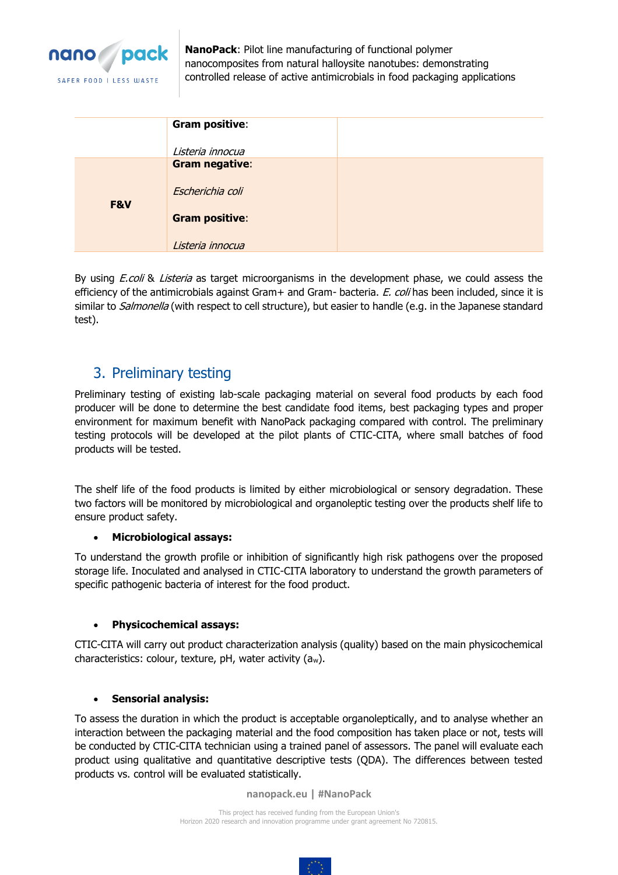

|     | <b>Gram positive:</b> |  |
|-----|-----------------------|--|
|     | Listeria innocua      |  |
|     | <b>Gram negative:</b> |  |
| F&V | Escherichia coli      |  |
|     | <b>Gram positive:</b> |  |
|     | Listeria innocua      |  |

By using *E.coli* & *Listeria* as target microorganisms in the development phase, we could assess the efficiency of the antimicrobials against Gram+ and Gram- bacteria. E. coli has been included, since it is similar to *Salmonella* (with respect to cell structure), but easier to handle (e.g. in the Japanese standard test).

## <span id="page-6-0"></span>3. Preliminary testing

Preliminary testing of existing lab-scale packaging material on several food products by each food producer will be done to determine the best candidate food items, best packaging types and proper environment for maximum benefit with NanoPack packaging compared with control. The preliminary testing protocols will be developed at the pilot plants of CTIC-CITA, where small batches of food products will be tested.

The shelf life of the food products is limited by either microbiological or sensory degradation. These two factors will be monitored by microbiological and organoleptic testing over the products shelf life to ensure product safety.

### • **Microbiological assays:**

To understand the growth profile or inhibition of significantly high risk pathogens over the proposed storage life. Inoculated and analysed in CTIC-CITA laboratory to understand the growth parameters of specific pathogenic bacteria of interest for the food product.

### • **Physicochemical assays:**

CTIC-CITA will carry out product characterization analysis (quality) based on the main physicochemical characteristics: colour, texture, pH, water activity (aw).

### • **Sensorial analysis:**

To assess the duration in which the product is acceptable organoleptically, and to analyse whether an interaction between the packaging material and the food composition has taken place or not, tests will be conducted by CTIC-CITA technician using a trained panel of assessors. The panel will evaluate each product using qualitative and quantitative descriptive tests (QDA). The differences between tested products vs. control will be evaluated statistically.

**nanopack.eu | #NanoPack**

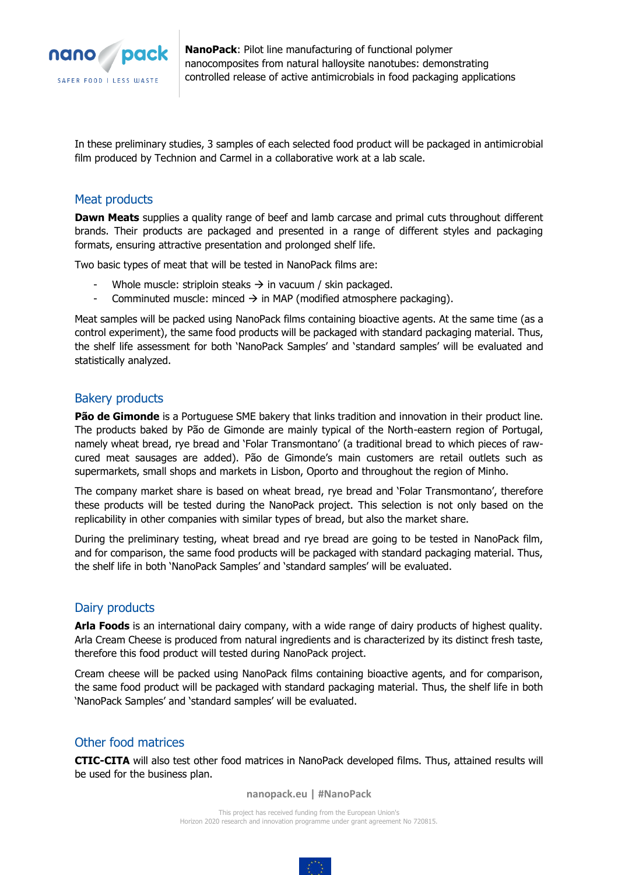

In these preliminary studies, 3 samples of each selected food product will be packaged in antimicrobial film produced by Technion and Carmel in a collaborative work at a lab scale.

#### <span id="page-7-0"></span>Meat products

**Dawn Meats** supplies a quality range of beef and lamb carcase and primal cuts throughout different brands. Their products are packaged and presented in a range of different styles and packaging formats, ensuring attractive presentation and prolonged shelf life.

Two basic types of meat that will be tested in NanoPack films are:

- Whole muscle: striploin steaks  $\rightarrow$  in vacuum / skin packaged.
- Comminuted muscle: minced  $\rightarrow$  in MAP (modified atmosphere packaging).

Meat samples will be packed using NanoPack films containing bioactive agents. At the same time (as a control experiment), the same food products will be packaged with standard packaging material. Thus, the shelf life assessment for both 'NanoPack Samples' and 'standard samples' will be evaluated and statistically analyzed.

### <span id="page-7-1"></span>Bakery products

**Pão de Gimonde** is a Portuguese SME bakery that links tradition and innovation in their product line. The products baked by Pão de Gimonde are mainly typical of the North-eastern region of Portugal, namely wheat bread, rye bread and 'Folar Transmontano' (a traditional bread to which pieces of rawcured meat sausages are added). Pão de Gimonde's main customers are retail outlets such as supermarkets, small shops and markets in Lisbon, Oporto and throughout the region of Minho.

The company market share is based on wheat bread, rye bread and 'Folar Transmontano', therefore these products will be tested during the NanoPack project. This selection is not only based on the replicability in other companies with similar types of bread, but also the market share.

During the preliminary testing, wheat bread and rye bread are going to be tested in NanoPack film, and for comparison, the same food products will be packaged with standard packaging material. Thus, the shelf life in both 'NanoPack Samples' and 'standard samples' will be evaluated.

### <span id="page-7-2"></span>Dairy products

**Arla Foods** is an international dairy company, with a wide range of dairy products of highest quality. Arla Cream Cheese is produced from natural ingredients and is characterized by its distinct fresh taste, therefore this food product will tested during NanoPack project.

Cream cheese will be packed using NanoPack films containing bioactive agents, and for comparison, the same food product will be packaged with standard packaging material. Thus, the shelf life in both 'NanoPack Samples' and 'standard samples' will be evaluated.

### <span id="page-7-3"></span>Other food matrices

**CTIC-CITA** will also test other food matrices in NanoPack developed films. Thus, attained results will be used for the business plan.

**nanopack.eu | #NanoPack**

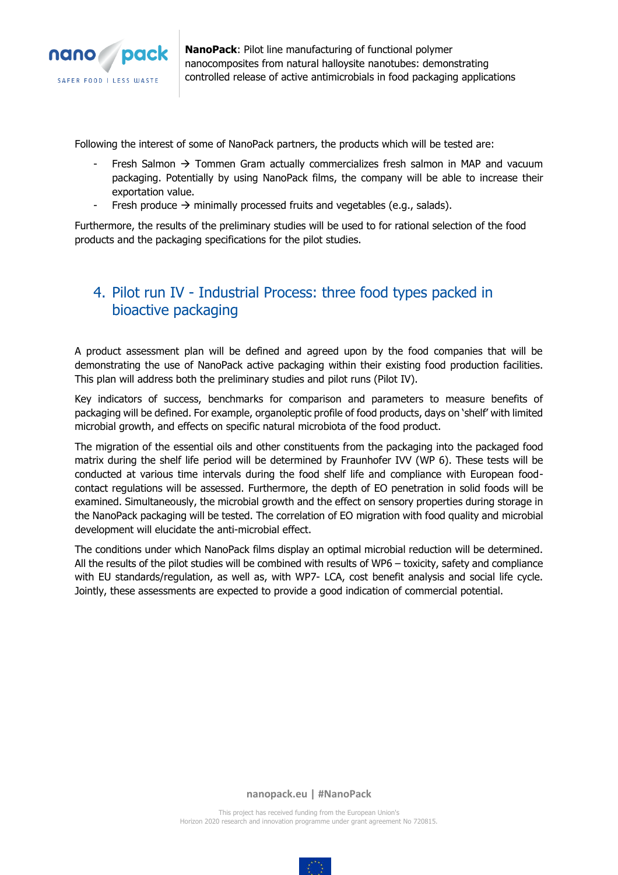

Following the interest of some of NanoPack partners, the products which will be tested are:

- Fresh Salmon  $\rightarrow$  Tommen Gram actually commercializes fresh salmon in MAP and vacuum packaging. Potentially by using NanoPack films, the company will be able to increase their exportation value.
- Fresh produce → minimally processed fruits and vegetables (e.g., salads).

Furthermore, the results of the preliminary studies will be used to for rational selection of the food products and the packaging specifications for the pilot studies.

## <span id="page-8-0"></span>4. Pilot run IV - Industrial Process: three food types packed in bioactive packaging

A product assessment plan will be defined and agreed upon by the food companies that will be demonstrating the use of NanoPack active packaging within their existing food production facilities. This plan will address both the preliminary studies and pilot runs (Pilot IV).

Key indicators of success, benchmarks for comparison and parameters to measure benefits of packaging will be defined. For example, organoleptic profile of food products, days on 'shelf' with limited microbial growth, and effects on specific natural microbiota of the food product.

The migration of the essential oils and other constituents from the packaging into the packaged food matrix during the shelf life period will be determined by Fraunhofer IVV (WP 6). These tests will be conducted at various time intervals during the food shelf life and compliance with European foodcontact regulations will be assessed. Furthermore, the depth of EO penetration in solid foods will be examined. Simultaneously, the microbial growth and the effect on sensory properties during storage in the NanoPack packaging will be tested. The correlation of EO migration with food quality and microbial development will elucidate the anti-microbial effect.

The conditions under which NanoPack films display an optimal microbial reduction will be determined. All the results of the pilot studies will be combined with results of WP6 – toxicity, safety and compliance with EU standards/regulation, as well as, with WP7- LCA, cost benefit analysis and social life cycle. Jointly, these assessments are expected to provide a good indication of commercial potential.

**nanopack.eu | #NanoPack**

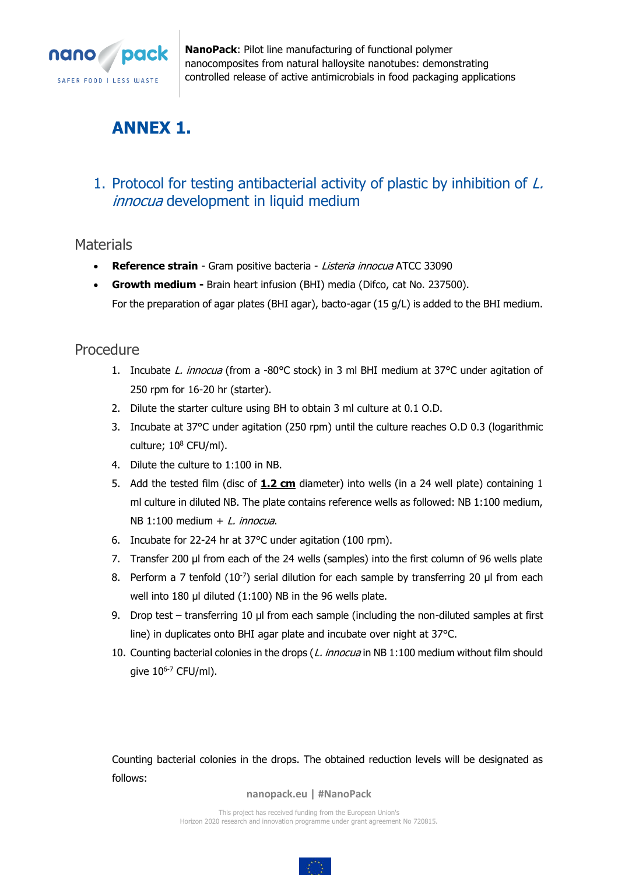

# <span id="page-9-0"></span>**ANNEX 1.**

# <span id="page-9-1"></span>1. Protocol for testing antibacterial activity of plastic by inhibition of L. innocua development in liquid medium

## <span id="page-9-2"></span>**Materials**

- **Reference strain** Gram positive bacteria Listeria innocua ATCC 33090
- **Growth medium -** Brain heart infusion (BHI) media (Difco, cat No. 237500). For the preparation of agar plates (BHI agar), bacto-agar (15 g/L) is added to the BHI medium.

## <span id="page-9-3"></span>Procedure

- 1. Incubate L. innocua (from a -80°C stock) in 3 ml BHI medium at 37°C under agitation of 250 rpm for 16-20 hr (starter).
- 2. Dilute the starter culture using BH to obtain 3 ml culture at 0.1 O.D.
- 3. Incubate at 37°C under agitation (250 rpm) until the culture reaches O.D 0.3 (logarithmic culture; 10<sup>8</sup> CFU/ml).
- 4. Dilute the culture to 1:100 in NB.
- 5. Add the tested film (disc of **1.2 cm** diameter) into wells (in a 24 well plate) containing 1 ml culture in diluted NB. The plate contains reference wells as followed: NB 1:100 medium, NB 1:100 medium  $+$  L. innocua.
- 6. Incubate for 22-24 hr at 37°C under agitation (100 rpm).
- 7. Transfer 200 µl from each of the 24 wells (samples) into the first column of 96 wells plate
- 8. Perform a 7 tenfold  $(10^{-7})$  serial dilution for each sample by transferring 20 µl from each well into 180 µl diluted (1:100) NB in the 96 wells plate.
- 9. Drop test transferring 10 µl from each sample (including the non-diluted samples at first line) in duplicates onto BHI agar plate and incubate over night at 37°C.
- 10. Counting bacterial colonies in the drops (L. innocua in NB 1:100 medium without film should give  $10^{6-7}$  CFU/ml).

Counting bacterial colonies in the drops. The obtained reduction levels will be designated as follows:

#### **nanopack.eu | #NanoPack**

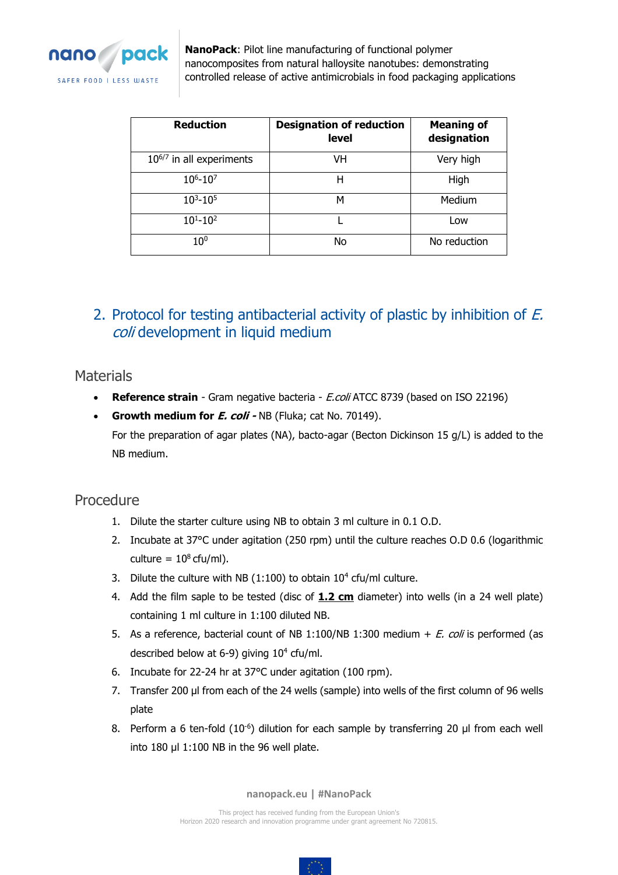

| <b>Reduction</b>              | <b>Designation of reduction</b><br>level | <b>Meaning of</b><br>designation |
|-------------------------------|------------------------------------------|----------------------------------|
| $10^{6/7}$ in all experiments | VH                                       | Very high                        |
| $10^{6} - 10^{7}$             | Н                                        | High                             |
| $10^{3} - 10^{5}$             | м                                        | Medium                           |
| $10^{1} - 10^{2}$             |                                          | Low                              |
| 10 <sup>0</sup>               | No                                       | No reduction                     |

# <span id="page-10-0"></span>2. Protocol for testing antibacterial activity of plastic by inhibition of E. coli development in liquid medium

## <span id="page-10-1"></span>**Materials**

- **Reference strain** Gram negative bacteria *E.coli* ATCC 8739 (based on ISO 22196)
- **Growth medium for E. coli -** NB (Fluka; cat No. 70149). For the preparation of agar plates (NA), bacto-agar (Becton Dickinson 15 g/L) is added to the NB medium.

## <span id="page-10-2"></span>Procedure

- 1. Dilute the starter culture using NB to obtain 3 ml culture in 0.1 O.D.
- 2. Incubate at 37°C under agitation (250 rpm) until the culture reaches O.D 0.6 (logarithmic culture =  $10^8$  cfu/ml).
- 3. Dilute the culture with NB  $(1:100)$  to obtain  $10<sup>4</sup>$  cfu/ml culture.
- 4. Add the film saple to be tested (disc of **1.2 cm** diameter) into wells (in a 24 well plate) containing 1 ml culture in 1:100 diluted NB.
- 5. As a reference, bacterial count of NB 1:100/NB 1:300 medium  $+ E.$  coli is performed (as described below at 6-9) giving 10<sup>4</sup> cfu/ml.
- 6. Incubate for 22-24 hr at 37°C under agitation (100 rpm).
- 7. Transfer 200 µl from each of the 24 wells (sample) into wells of the first column of 96 wells plate
- 8. Perform a 6 ten-fold  $(10^{-6})$  dilution for each sample by transferring 20  $\mu$ l from each well into 180 µl 1:100 NB in the 96 well plate.

**nanopack.eu | #NanoPack**

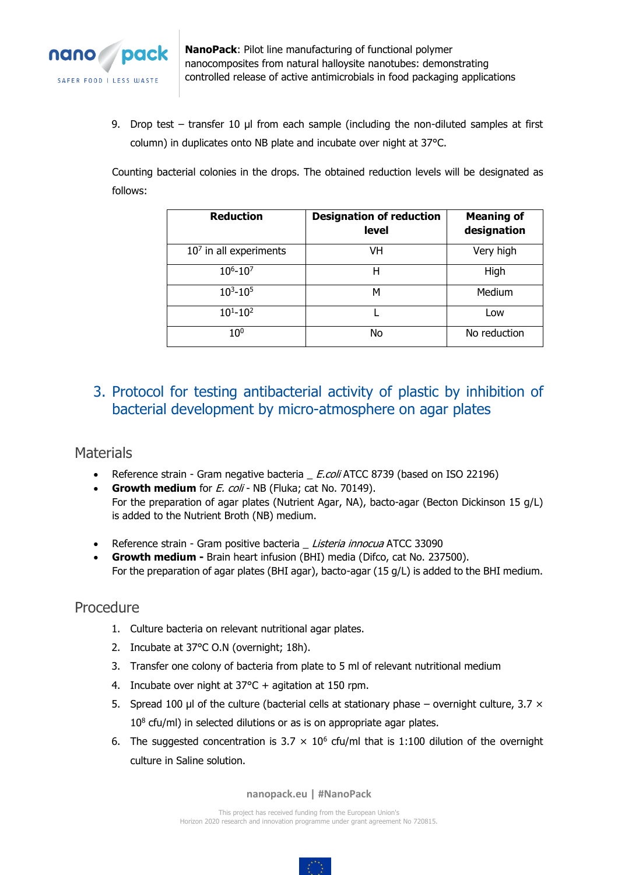

9. Drop test – transfer 10  $\mu$ l from each sample (including the non-diluted samples at first column) in duplicates onto NB plate and incubate over night at 37°C.

Counting bacterial colonies in the drops. The obtained reduction levels will be designated as follows:

| <b>Reduction</b>         | <b>Designation of reduction</b><br><b>level</b> | <b>Meaning of</b><br>designation |
|--------------------------|-------------------------------------------------|----------------------------------|
| $107$ in all experiments | VH                                              | Very high                        |
| $10^{6} - 10^{7}$        | н                                               | High                             |
| $10^3 - 10^5$            | м                                               | Medium                           |
| $10^{1} - 10^{2}$        |                                                 | Low                              |
| $10^{0}$                 | No                                              | No reduction                     |

# <span id="page-11-0"></span>3. Protocol for testing antibacterial activity of plastic by inhibition of bacterial development by micro-atmosphere on agar plates

## <span id="page-11-1"></span>**Materials**

- Reference strain Gram negative bacteria \_ E.coli ATCC 8739 (based on ISO 22196)
- **Growth medium** for *E. coli* NB (Fluka; cat No. 70149). For the preparation of agar plates (Nutrient Agar, NA), bacto-agar (Becton Dickinson 15 g/L) is added to the Nutrient Broth (NB) medium.
- Reference strain Gram positive bacteria \_ Listeria innocua ATCC 33090
- **Growth medium -** Brain heart infusion (BHI) media (Difco, cat No. 237500). For the preparation of agar plates (BHI agar), bacto-agar (15 g/L) is added to the BHI medium.

## <span id="page-11-2"></span>Procedure

- 1. Culture bacteria on relevant nutritional agar plates.
- 2. Incubate at 37°C O.N (overnight; 18h).
- 3. Transfer one colony of bacteria from plate to 5 ml of relevant nutritional medium
- 4. Incubate over night at 37°C + agitation at 150 rpm.
- 5. Spread 100 µl of the culture (bacterial cells at stationary phase overnight culture, 3.7  $\times$ 10<sup>8</sup> cfu/ml) in selected dilutions or as is on appropriate agar plates.
- 6. The suggested concentration is  $3.7 \times 10^6$  cfu/ml that is 1:100 dilution of the overnight culture in Saline solution.

**nanopack.eu | #NanoPack**

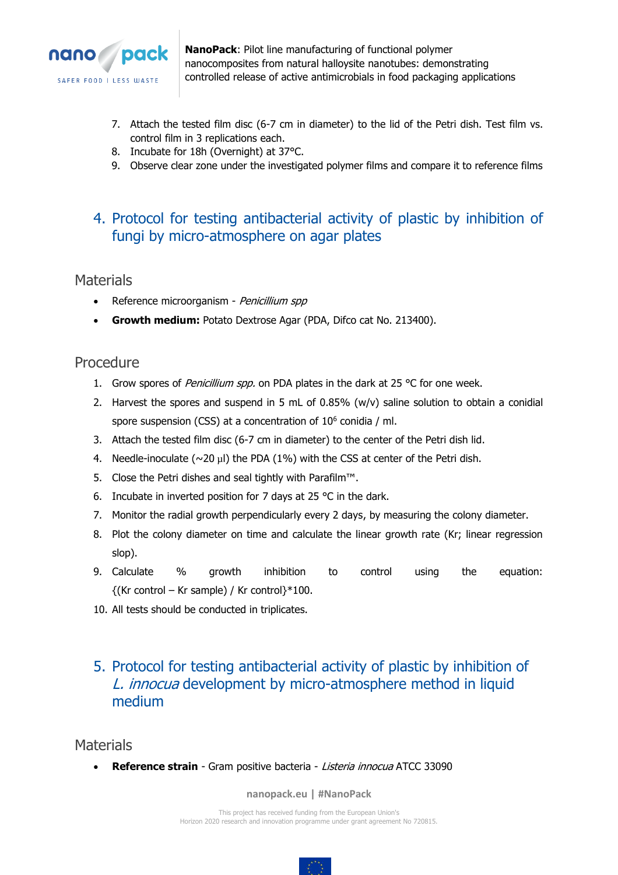

- 7. Attach the tested film disc (6-7 cm in diameter) to the lid of the Petri dish. Test film vs. control film in 3 replications each.
- 8. Incubate for 18h (Overnight) at 37°C.
- 9. Observe clear zone under the investigated polymer films and compare it to reference films

# <span id="page-12-0"></span>4. Protocol for testing antibacterial activity of plastic by inhibition of fungi by micro-atmosphere on agar plates

## <span id="page-12-1"></span>**Materials**

- Reference microorganism Penicillium spp
- **Growth medium:** Potato Dextrose Agar (PDA, Difco cat No. 213400).

## <span id="page-12-2"></span>Procedure

- 1. Grow spores of Penicillium spp. on PDA plates in the dark at 25  $^{\circ}$ C for one week.
- 2. Harvest the spores and suspend in 5 mL of 0.85% (w/v) saline solution to obtain a conidial spore suspension (CSS) at a concentration of  $10^6$  conidia / ml.
- 3. Attach the tested film disc (6-7 cm in diameter) to the center of the Petri dish lid.
- 4. Needle-inoculate ( $\sim$ 20 µl) the PDA (1%) with the CSS at center of the Petri dish.
- 5. Close the Petri dishes and seal tightly with Parafilm™.
- 6. Incubate in inverted position for 7 days at 25 °C in the dark.
- 7. Monitor the radial growth perpendicularly every 2 days, by measuring the colony diameter.
- 8. Plot the colony diameter on time and calculate the linear growth rate (Kr; linear regression slop).
- 9. Calculate % growth inhibition to control using the equation:  $\{(Kr \text{ control} - Kr \text{ sample}) / Kr \text{ control}\}^*100.$
- 10. All tests should be conducted in triplicates.

# <span id="page-12-3"></span>5. Protocol for testing antibacterial activity of plastic by inhibition of L. innocua development by micro-atmosphere method in liquid medium

<span id="page-12-4"></span>**Materials** 

• **Reference strain** - Gram positive bacteria - Listeria innocua ATCC 33090

#### **nanopack.eu | #NanoPack**

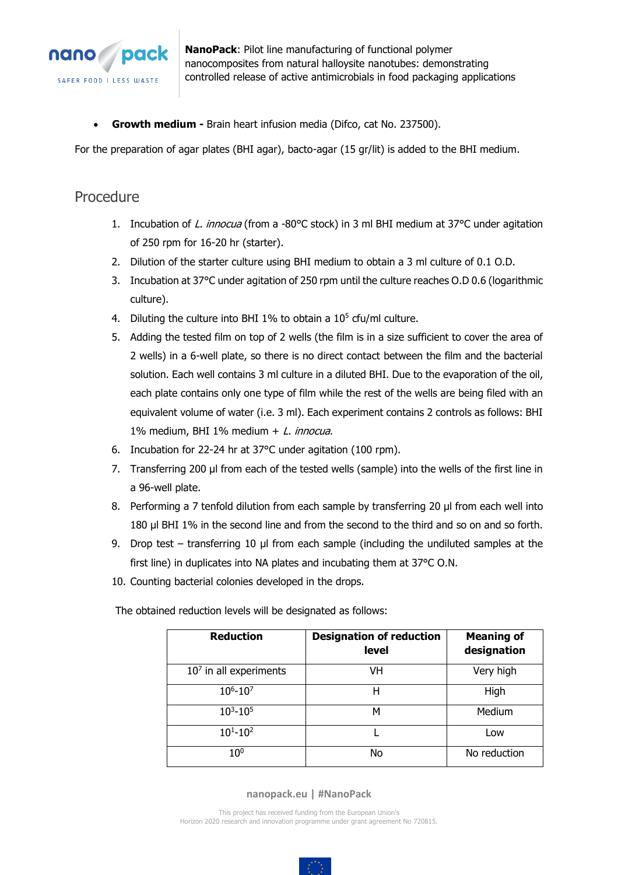

• **Growth medium -** Brain heart infusion media (Difco, cat No. 237500).

For the preparation of agar plates (BHI agar), bacto-agar (15 gr/lit) is added to the BHI medium.

## <span id="page-13-0"></span>Procedure

- 1. Incubation of L. innocua (from a -80°C stock) in 3 ml BHI medium at 37°C under agitation of 250 rpm for 16-20 hr (starter).
- 2. Dilution of the starter culture using BHI medium to obtain a 3 ml culture of 0.1 O.D.
- 3. Incubation at 37°C under agitation of 250 rpm until the culture reaches O.D 0.6 (logarithmic culture).
- 4. Diluting the culture into BHI 1% to obtain a  $10<sup>5</sup>$  cfu/ml culture.
- 5. Adding the tested film on top of 2 wells (the film is in a size sufficient to cover the area of 2 wells) in a 6-well plate, so there is no direct contact between the film and the bacterial solution. Each well contains 3 ml culture in a diluted BHI. Due to the evaporation of the oil, each plate contains only one type of film while the rest of the wells are being filed with an equivalent volume of water (i.e. 3 ml). Each experiment contains 2 controls as follows: BHI 1% medium, BHI 1% medium + L. innocua.
- 6. Incubation for 22-24 hr at 37°C under agitation (100 rpm).
- 7. Transferring 200 µl from each of the tested wells (sample) into the wells of the first line in a 96-well plate.
- 8. Performing a 7 tenfold dilution from each sample by transferring 20 µl from each well into 180 µl BHI 1% in the second line and from the second to the third and so on and so forth.
- 9. Drop test transferring 10 µl from each sample (including the undiluted samples at the first line) in duplicates into NA plates and incubating them at 37°C O.N.
- 10. Counting bacterial colonies developed in the drops.

The obtained reduction levels will be designated as follows:

| <b>Reduction</b>         | <b>Designation of reduction</b><br><b>level</b> | <b>Meaning of</b><br>designation |
|--------------------------|-------------------------------------------------|----------------------------------|
| $107$ in all experiments | VH                                              | Very high                        |
| $10^{6} - 10^{7}$        | н                                               | High                             |
| $10^{3} - 10^{5}$        | м                                               | Medium                           |
| $10^{1} - 10^{2}$        |                                                 | Low                              |
| 10 <sup>0</sup>          | No                                              | No reduction                     |

#### **nanopack.eu | #NanoPack**

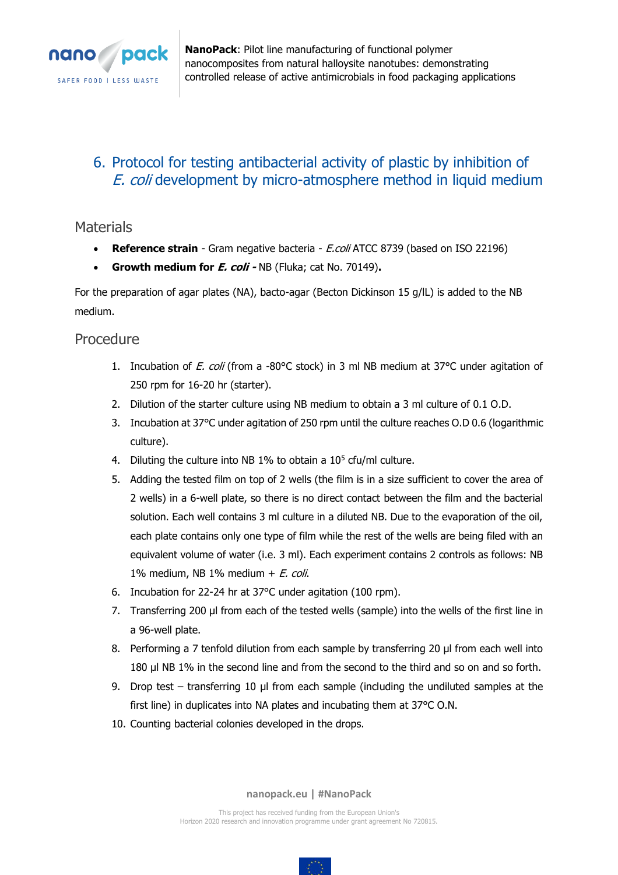

# <span id="page-14-0"></span>6. Protocol for testing antibacterial activity of plastic by inhibition of E. coli development by micro-atmosphere method in liquid medium

<span id="page-14-1"></span>**Materials** 

- **Reference strain** Gram negative bacteria E.coli ATCC 8739 (based on ISO 22196)
- **Growth medium for E. coli -** NB (Fluka; cat No. 70149)**.**

For the preparation of agar plates (NA), bacto-agar (Becton Dickinson 15 g/lL) is added to the NB medium.

## <span id="page-14-2"></span>Procedure

- 1. Incubation of *E. coli* (from a -80°C stock) in 3 ml NB medium at 37°C under agitation of 250 rpm for 16-20 hr (starter).
- 2. Dilution of the starter culture using NB medium to obtain a 3 ml culture of 0.1 O.D.
- 3. Incubation at 37°C under agitation of 250 rpm until the culture reaches O.D 0.6 (logarithmic culture).
- 4. Diluting the culture into NB  $1\%$  to obtain a  $10<sup>5</sup>$  cfu/ml culture.
- 5. Adding the tested film on top of 2 wells (the film is in a size sufficient to cover the area of 2 wells) in a 6-well plate, so there is no direct contact between the film and the bacterial solution. Each well contains 3 ml culture in a diluted NB. Due to the evaporation of the oil, each plate contains only one type of film while the rest of the wells are being filed with an equivalent volume of water (i.e. 3 ml). Each experiment contains 2 controls as follows: NB 1% medium, NB 1% medium  $+ E.$  coli.
- 6. Incubation for 22-24 hr at 37°C under agitation (100 rpm).
- 7. Transferring 200 µl from each of the tested wells (sample) into the wells of the first line in a 96-well plate.
- 8. Performing a 7 tenfold dilution from each sample by transferring 20 µl from each well into 180 µl NB 1% in the second line and from the second to the third and so on and so forth.
- 9. Drop test transferring 10 µl from each sample (including the undiluted samples at the first line) in duplicates into NA plates and incubating them at 37°C O.N.
- 10. Counting bacterial colonies developed in the drops.

**nanopack.eu | #NanoPack**

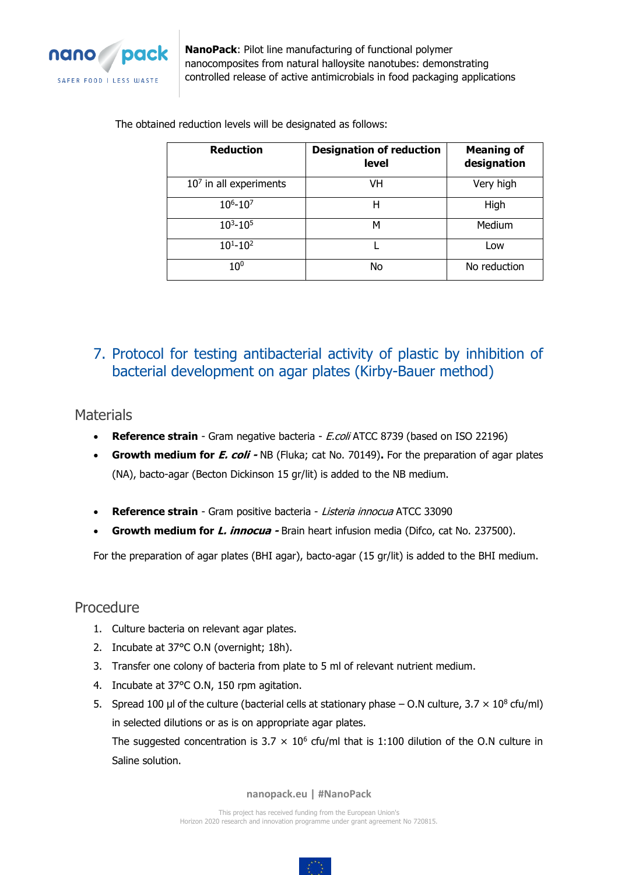

The obtained reduction levels will be designated as follows:

| <b>Reduction</b>         | <b>Designation of reduction</b><br><b>level</b> | <b>Meaning of</b><br>designation |
|--------------------------|-------------------------------------------------|----------------------------------|
| $107$ in all experiments | VH                                              | Very high                        |
| $10^{6} - 10^{7}$        | н                                               | High                             |
| $10^3 - 10^5$            | м                                               | Medium                           |
| $10^{1} - 10^{2}$        |                                                 | Low                              |
| 10 <sup>0</sup>          | No                                              | No reduction                     |

# <span id="page-15-0"></span>7. Protocol for testing antibacterial activity of plastic by inhibition of bacterial development on agar plates (Kirby-Bauer method)

## <span id="page-15-1"></span>**Materials**

- **Reference strain** Gram negative bacteria E.coli ATCC 8739 (based on ISO 22196)
- **Growth medium for E. coli -** NB (Fluka; cat No. 70149)**.** For the preparation of agar plates (NA), bacto-agar (Becton Dickinson 15 gr/lit) is added to the NB medium.
- **Reference strain** Gram positive bacteria Listeria innocua ATCC 33090
- **Growth medium for L. innocua -** Brain heart infusion media (Difco, cat No. 237500).

For the preparation of agar plates (BHI agar), bacto-agar (15 gr/lit) is added to the BHI medium.

## <span id="page-15-2"></span>Procedure

- 1. Culture bacteria on relevant agar plates.
- 2. Incubate at 37°C O.N (overnight; 18h).
- 3. Transfer one colony of bacteria from plate to 5 ml of relevant nutrient medium.
- 4. Incubate at 37°C O.N, 150 rpm agitation.
- 5. Spread 100 µl of the culture (bacterial cells at stationary phase  $-$  O.N culture, 3.7  $\times$  10<sup>8</sup> cfu/ml) in selected dilutions or as is on appropriate agar plates.

The suggested concentration is 3.7  $\times$  10<sup>6</sup> cfu/ml that is 1:100 dilution of the O.N culture in Saline solution.

**nanopack.eu | #NanoPack**